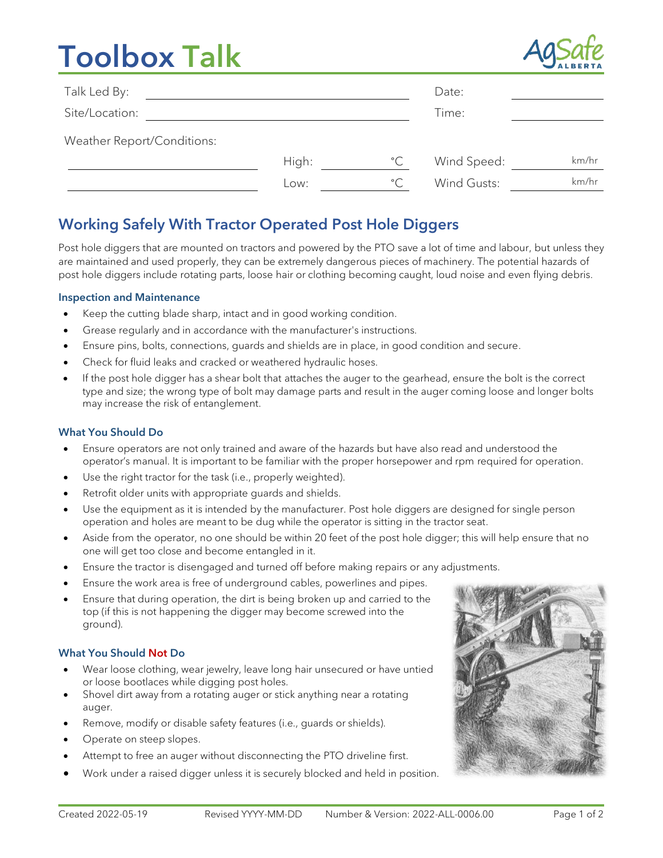# Toolbox Talk



| Talk Led By:               |       |              | Date:       |       |
|----------------------------|-------|--------------|-------------|-------|
| Site/Location:             |       |              | Time:       |       |
| Weather Report/Conditions: |       |              |             |       |
|                            | High: | $^{\circ}$ C | Wind Speed: | km/hr |
|                            | Low:  | $^{\circ}$ C | Wind Gusts: | km/hr |

## Working Safely With Tractor Operated Post Hole Diggers

Post hole diggers that are mounted on tractors and powered by the PTO save a lot of time and labour, but unless they are maintained and used properly, they can be extremely dangerous pieces of machinery. The potential hazards of post hole diggers include rotating parts, loose hair or clothing becoming caught, loud noise and even flying debris.

#### Inspection and Maintenance

- Keep the cutting blade sharp, intact and in good working condition.
- Grease regularly and in accordance with the manufacturer's instructions.
- Ensure pins, bolts, connections, guards and shields are in place, in good condition and secure.
- Check for fluid leaks and cracked or weathered hydraulic hoses.
- If the post hole digger has a shear bolt that attaches the auger to the gearhead, ensure the bolt is the correct type and size; the wrong type of bolt may damage parts and result in the auger coming loose and longer bolts may increase the risk of entanglement.

#### What You Should Do

- Ensure operators are not only trained and aware of the hazards but have also read and understood the operator's manual. It is important to be familiar with the proper horsepower and rpm required for operation.
- Use the right tractor for the task (i.e., properly weighted).
- Retrofit older units with appropriate guards and shields.
- Use the equipment as it is intended by the manufacturer. Post hole diggers are designed for single person operation and holes are meant to be dug while the operator is sitting in the tractor seat.
- Aside from the operator, no one should be within 20 feet of the post hole digger; this will help ensure that no one will get too close and become entangled in it.
- Ensure the tractor is disengaged and turned off before making repairs or any adjustments.
- Ensure the work area is free of underground cables, powerlines and pipes.
- Ensure that during operation, the dirt is being broken up and carried to the top (if this is not happening the digger may become screwed into the ground).

#### What You Should Not Do

- Wear loose clothing, wear jewelry, leave long hair unsecured or have untied or loose bootlaces while digging post holes.
- Shovel dirt away from a rotating auger or stick anything near a rotating auger.
- Remove, modify or disable safety features (i.e., guards or shields).
- Operate on steep slopes.
- Attempt to free an auger without disconnecting the PTO driveline first.
- Work under a raised digger unless it is securely blocked and held in position.